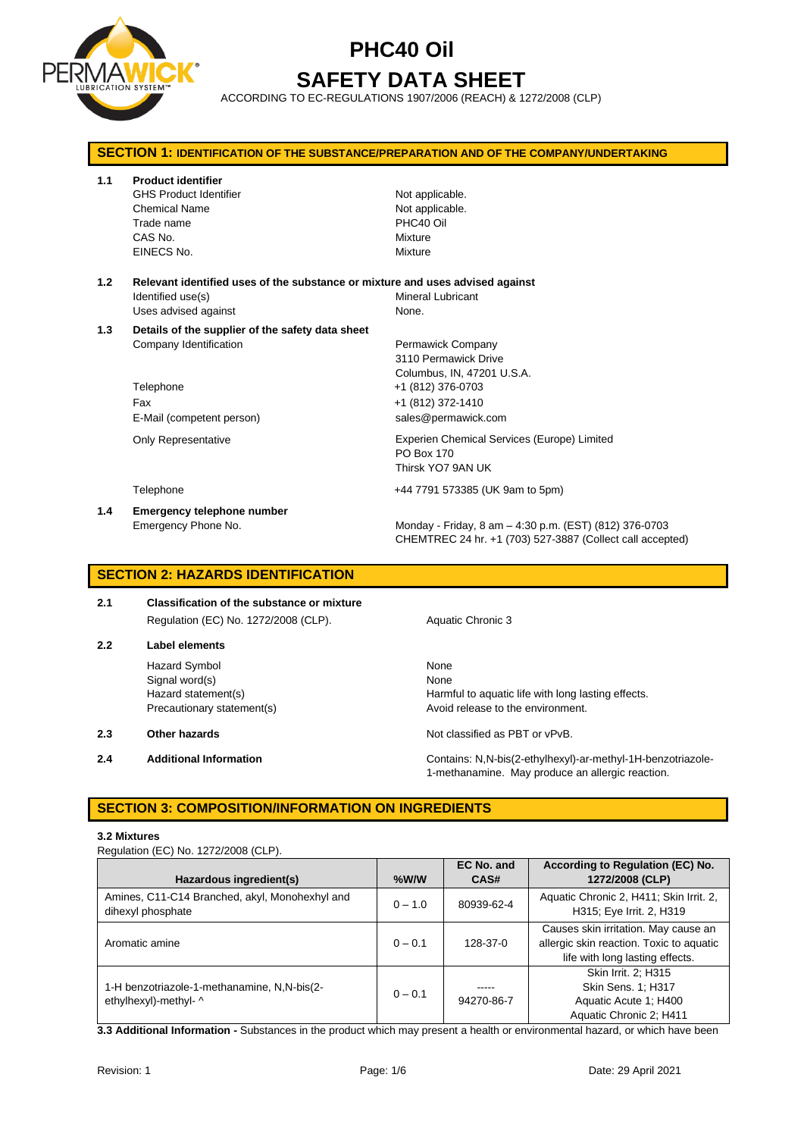

# **PHC40 Oil SAFETY DATA SHEET**

ACCORDING TO EC-REGULATIONS 1907/2006 (REACH) & 1272/2008 (CLP)

| <b>SECTION 1: IDENTIFICATION OF THE SUBSTANCE/PREPARATION AND OF THE COMPANY/UNDERTAKING</b> |                                                                                                                             |                                                                                                                                          |  |  |
|----------------------------------------------------------------------------------------------|-----------------------------------------------------------------------------------------------------------------------------|------------------------------------------------------------------------------------------------------------------------------------------|--|--|
| 1.1                                                                                          | <b>Product identifier</b><br><b>GHS Product Identifier</b><br><b>Chemical Name</b><br>Trade name<br>CAS No.<br>EINECS No.   | Not applicable.<br>Not applicable.<br>PHC40 Oil<br>Mixture<br>Mixture                                                                    |  |  |
| 1.2                                                                                          | Relevant identified uses of the substance or mixture and uses advised against<br>Identified use(s)<br>Uses advised against  | Mineral Lubricant<br>None.                                                                                                               |  |  |
| 1.3                                                                                          | Details of the supplier of the safety data sheet<br>Company Identification<br>Telephone<br>Fax<br>E-Mail (competent person) | Permawick Company<br>3110 Permawick Drive<br>Columbus, IN, 47201 U.S.A.<br>+1 (812) 376-0703<br>+1 (812) 372-1410<br>sales@permawick.com |  |  |
|                                                                                              | <b>Only Representative</b>                                                                                                  | Experien Chemical Services (Europe) Limited<br><b>PO Box 170</b><br>Thirsk YO7 9AN UK                                                    |  |  |
|                                                                                              | Telephone                                                                                                                   | +44 7791 573385 (UK 9am to 5pm)                                                                                                          |  |  |
| 1.4                                                                                          | <b>Emergency telephone number</b><br>Emergency Phone No.                                                                    | Monday - Friday, 8 am - 4:30 p.m. (EST) (812) 376-0703<br>CHEMTREC 24 hr. +1 (703) 527-3887 (Collect call accepted)                      |  |  |

### **SECTION 2: HAZARDS IDENTIFICATION**

**2.1 Classification of the substance or mixture** Regulation (EC) No. 1272/2008 (CLP). Aquatic Chronic 3

**2.2 Label elements**

Hazard Symbol None Signal word(s) None

- 
- 

Hazard statement(s) **Harmful to aquatic life with long lasting effects.** Precautionary statement(s) example a method of release to the environment.

**2.3 Other hazards Details According to the COV of COVID-100** Not classified as PBT or vPvB.

**2.4 Additional Information** Contains: N,N-bis(2-ethylhexyl)-ar-methyl-1H-benzotriazole-1-methanamine. May produce an allergic reaction.

### **SECTION 3: COMPOSITION/INFORMATION ON INGREDIENTS**

#### **3.2 Mixtures**

Regulation (EC) No. 1272/2008 (CLP).

| Hazardous ingredient(s)                                              | $%$ W/W   | <b>EC No. and</b><br>CAS# | According to Regulation (EC) No.<br>1272/2008 (CLP)                                                                 |
|----------------------------------------------------------------------|-----------|---------------------------|---------------------------------------------------------------------------------------------------------------------|
| Amines, C11-C14 Branched, akyl, Monohexhyl and<br>dihexyl phosphate  | $0 - 1.0$ | 80939-62-4                | Aquatic Chronic 2, H411; Skin Irrit. 2,<br>H315; Eye Irrit. 2, H319                                                 |
| Aromatic amine                                                       | $0 - 0.1$ | 128-37-0                  | Causes skin irritation. May cause an<br>allergic skin reaction. Toxic to aquatic<br>life with long lasting effects. |
| 1-H benzotriazole-1-methanamine, N,N-bis(2-<br>ethylhexyl)-methyl- ^ | $0 - 0.1$ | -----<br>94270-86-7       | Skin Irrit. 2: H315<br>Skin Sens. 1; H317<br>Aquatic Acute 1: H400<br>Aquatic Chronic 2; H411                       |

**3.3 Additional Information -** Substances in the product which may present a health or environmental hazard, or which have been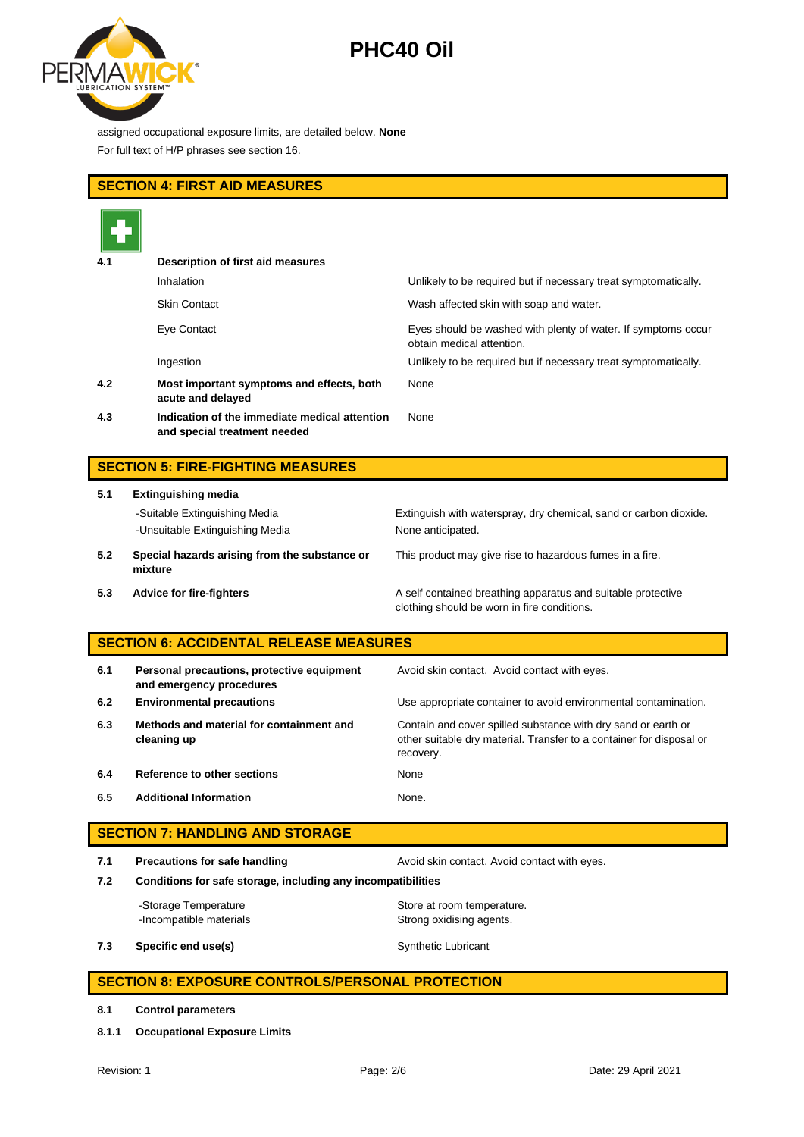

assigned occupational exposure limits, are detailed below. **None** For full text of H/P phrases see section 16.

## **SECTION 4: FIRST AID MEASURES**

| 4.1 | Description of first aid measures                                             |                                                                                            |
|-----|-------------------------------------------------------------------------------|--------------------------------------------------------------------------------------------|
|     | Inhalation                                                                    | Unlikely to be required but if necessary treat symptomatically.                            |
|     | <b>Skin Contact</b>                                                           | Wash affected skin with soap and water.                                                    |
|     | Eye Contact                                                                   | Eyes should be washed with plenty of water. If symptoms occur<br>obtain medical attention. |
|     | Ingestion                                                                     | Unlikely to be required but if necessary treat symptomatically.                            |
| 4.2 | Most important symptoms and effects, both<br>acute and delayed                | None                                                                                       |
| 4.3 | Indication of the immediate medical attention<br>and special treatment needed | None                                                                                       |

# **SECTION 5: FIRE-FIGHTING MEASURES**

| 5.1                           | <b>Extinguishing media</b>      |  |  |
|-------------------------------|---------------------------------|--|--|
| -Suitable Extinguishing Media |                                 |  |  |
|                               | -Unsuitable Extinguishing Media |  |  |

Extinguish with waterspray, dry chemical, sand or carbon dioxide. None anticipated.

**5.2 Special hazards arising from the substance or mixture**

This product may give rise to hazardous fumes in a fire.

**5.3 Advice for fire-fighters A self** contained breathing apparatus and suitable protective clothing should be worn in fire conditions.

## **SECTION 6: ACCIDENTAL RELEASE MEASURES**

| 6.1 | Personal precautions, protective equipment<br>and emergency procedures | Avoid skin contact. Avoid contact with eyes.                                                                                                       |
|-----|------------------------------------------------------------------------|----------------------------------------------------------------------------------------------------------------------------------------------------|
| 6.2 | <b>Environmental precautions</b>                                       | Use appropriate container to avoid environmental contamination.                                                                                    |
| 6.3 | Methods and material for containment and<br>cleaning up                | Contain and cover spilled substance with dry sand or earth or<br>other suitable dry material. Transfer to a container for disposal or<br>recovery. |
| 6.4 | Reference to other sections                                            | None                                                                                                                                               |
| 6.5 | <b>Additional Information</b>                                          | None.                                                                                                                                              |

### **SECTION 7: HANDLING AND STORAGE**

**7.1 Precautions for safe handling Avoid skin contact. Avoid contact with eyes.** 

**7.2 Conditions for safe storage, including any incompatibilities**

-Storage Temperature **Store at room temperature.** -Incompatible materials **Strong oxidising agents**.

**7.3 Specific end use(s)** Synthetic Lubricant

## **SECTION 8: EXPOSURE CONTROLS/PERSONAL PROTECTION**

#### **8.1 Control parameters**

**8.1.1 Occupational Exposure Limits**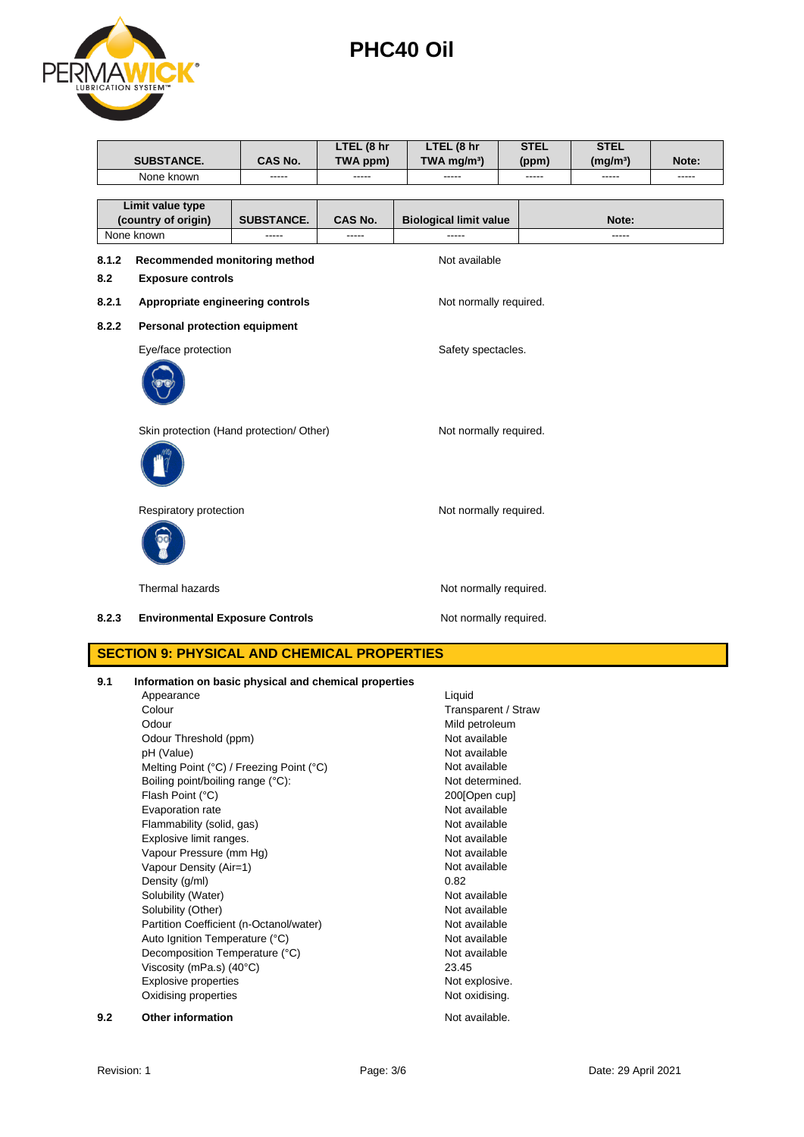

|                  | <b>SUBSTANCE.</b>                        | CAS No.           | LTEL (8 hr<br>TWA ppm) | LTEL (8 hr<br>TWA mg/m <sup>3</sup> ) | <b>STEL</b><br>(ppm) |  | <b>STEL</b><br>(mg/m <sup>3</sup> ) | Note: |
|------------------|------------------------------------------|-------------------|------------------------|---------------------------------------|----------------------|--|-------------------------------------|-------|
|                  | None known                               |                   |                        |                                       |                      |  |                                     | ----- |
|                  |                                          |                   |                        |                                       |                      |  |                                     |       |
| Limit value type |                                          |                   |                        |                                       |                      |  |                                     |       |
|                  | (country of origin)                      | <b>SUBSTANCE.</b> | CAS No.                | <b>Biological limit value</b>         |                      |  | Note:                               |       |
|                  | None known                               | -----             | -----                  | -----                                 |                      |  | -----                               |       |
| 8.1.2            | Recommended monitoring method            |                   |                        | Not available                         |                      |  |                                     |       |
| 8.2              | <b>Exposure controls</b>                 |                   |                        |                                       |                      |  |                                     |       |
| 8.2.1            | Appropriate engineering controls         |                   |                        | Not normally required.                |                      |  |                                     |       |
| 8.2.2            | <b>Personal protection equipment</b>     |                   |                        |                                       |                      |  |                                     |       |
|                  | Eye/face protection                      |                   |                        | Safety spectacles.                    |                      |  |                                     |       |
|                  |                                          |                   |                        |                                       |                      |  |                                     |       |
|                  | Skin protection (Hand protection/ Other) |                   |                        | Not normally required.                |                      |  |                                     |       |
|                  |                                          |                   |                        |                                       |                      |  |                                     |       |
|                  | Respiratory protection                   |                   |                        | Not normally required.                |                      |  |                                     |       |
|                  |                                          |                   |                        |                                       |                      |  |                                     |       |
|                  | Thermal hazards                          |                   |                        | Not normally required.                |                      |  |                                     |       |
| 8.2.3            | <b>Environmental Exposure Controls</b>   |                   |                        | Not normally required.                |                      |  |                                     |       |

## **SECTION 9: PHYSICAL AND CHEMICAL PROPERTIES**

| 9.1 | Information on basic physical and chemical properties |                     |
|-----|-------------------------------------------------------|---------------------|
|     | Appearance                                            | Liquid              |
|     | Colour                                                | Transparent / Straw |
|     | Odour                                                 | Mild petroleum      |
|     | Odour Threshold (ppm)                                 | Not available       |
|     | pH (Value)                                            | Not available       |
|     | Melting Point (°C) / Freezing Point (°C)              | Not available       |
|     | Boiling point/boiling range (°C):                     | Not determined.     |
|     | Flash Point (°C)                                      | 200[Open cup]       |
|     | Evaporation rate                                      | Not available       |
|     | Flammability (solid, gas)                             | Not available       |
|     | Explosive limit ranges.                               | Not available       |
|     | Vapour Pressure (mm Hg)                               | Not available       |
|     | Vapour Density (Air=1)                                | Not available       |
|     | Density (g/ml)                                        | 0.82                |
|     | Solubility (Water)                                    | Not available       |
|     | Solubility (Other)                                    | Not available       |
|     | Partition Coefficient (n-Octanol/water)               | Not available       |
|     | Auto Ignition Temperature (°C)                        | Not available       |
|     | Decomposition Temperature (°C)                        | Not available       |
|     | Viscosity (mPa.s) $(40^{\circ}C)$                     | 23.45               |
|     | <b>Explosive properties</b>                           | Not explosive.      |
|     | Oxidising properties                                  | Not oxidising.      |
| 9.2 | <b>Other information</b>                              | Not available.      |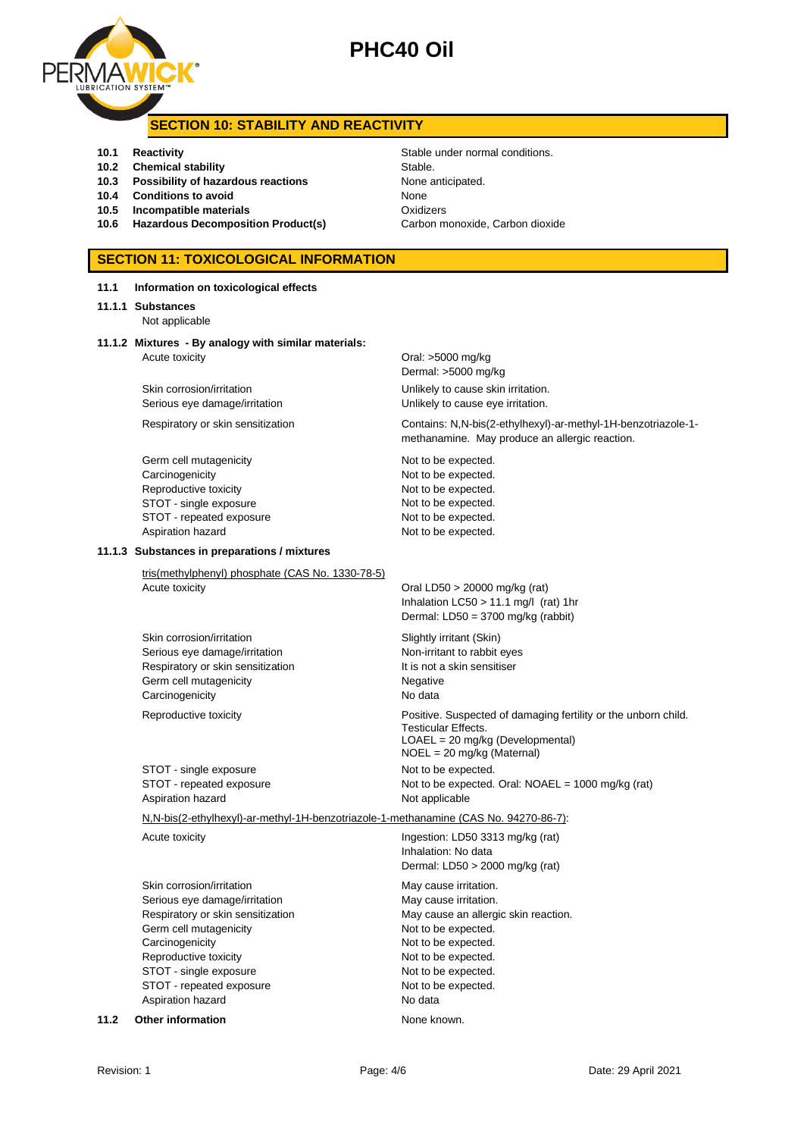



### **SECTION 10: STABILITY AND REACTIVITY**

- **10.1 Reactivity 10.1 Reactivity 10.1 Reactivity Stable under normal conditions.**
- **10.2 Chemical stability** Stable.
- **10.3 Possibility of hazardous reactions** None anticipated.
- **10.4 Conditions to avoid None**
- **10.5 Incompatible materials 10.5 Oxidizers**
- 10.6 **Hazardous Decomposition Product(s)** Carbon monoxide, Carbon dioxide

# **SECTION 11: TOXICOLOGICAL INFORMATION**

| 11.1 | Information on toxicological effects                                                                                                                                                                                                             |                                                                                                                                                                                                                      |
|------|--------------------------------------------------------------------------------------------------------------------------------------------------------------------------------------------------------------------------------------------------|----------------------------------------------------------------------------------------------------------------------------------------------------------------------------------------------------------------------|
|      | 11.1.1 Substances<br>Not applicable                                                                                                                                                                                                              |                                                                                                                                                                                                                      |
|      | 11.1.2 Mixtures - By analogy with similar materials:<br>Acute toxicity                                                                                                                                                                           | Oral: >5000 mg/kg<br>Dermal: >5000 mg/kg                                                                                                                                                                             |
|      | Skin corrosion/irritation<br>Serious eye damage/irritation                                                                                                                                                                                       | Unlikely to cause skin irritation.<br>Unlikely to cause eye irritation.                                                                                                                                              |
|      | Respiratory or skin sensitization                                                                                                                                                                                                                | Contains: N,N-bis(2-ethylhexyl)-ar-methyl-1H-benzotriazole-1-<br>methanamine. May produce an allergic reaction.                                                                                                      |
|      | Germ cell mutagenicity<br>Carcinogenicity<br>Reproductive toxicity<br>STOT - single exposure<br>STOT - repeated exposure<br>Aspiration hazard                                                                                                    | Not to be expected.<br>Not to be expected.<br>Not to be expected.<br>Not to be expected.<br>Not to be expected.<br>Not to be expected.                                                                               |
|      | 11.1.3 Substances in preparations / mixtures                                                                                                                                                                                                     |                                                                                                                                                                                                                      |
|      | tris(methylphenyl) phosphate (CAS No. 1330-78-5)<br>Acute toxicity                                                                                                                                                                               | Oral LD50 > 20000 mg/kg (rat)<br>Inhalation $LC50 > 11.1$ mg/l (rat) 1hr<br>Dermal: LD50 = 3700 mg/kg (rabbit)                                                                                                       |
|      | Skin corrosion/irritation<br>Serious eye damage/irritation<br>Respiratory or skin sensitization<br>Germ cell mutagenicity<br>Carcinogenicity                                                                                                     | Slightly irritant (Skin)<br>Non-irritant to rabbit eyes<br>It is not a skin sensitiser<br>Negative<br>No data                                                                                                        |
|      | Reproductive toxicity                                                                                                                                                                                                                            | Positive. Suspected of damaging fertility or the unborn child.<br><b>Testicular Effects.</b><br>LOAEL = 20 mg/kg (Developmental)<br>NOEL = 20 mg/kg (Maternal)                                                       |
|      | STOT - single exposure<br>STOT - repeated exposure<br>Aspiration hazard                                                                                                                                                                          | Not to be expected.<br>Not to be expected. Oral: NOAEL = 1000 mg/kg (rat)<br>Not applicable                                                                                                                          |
|      | N,N-bis(2-ethylhexyl)-ar-methyl-1H-benzotriazole-1-methanamine (CAS No. 94270-86-7):                                                                                                                                                             |                                                                                                                                                                                                                      |
|      | Acute toxicity                                                                                                                                                                                                                                   | Ingestion: LD50 3313 mg/kg (rat)<br>Inhalation: No data<br>Dermal: LD50 > 2000 mg/kg (rat)                                                                                                                           |
|      | Skin corrosion/irritation<br>Serious eye damage/irritation<br>Respiratory or skin sensitization<br>Germ cell mutagenicity<br>Carcinogenicity<br>Reproductive toxicity<br>STOT - single exposure<br>STOT - repeated exposure<br>Aspiration hazard | May cause irritation.<br>May cause irritation.<br>May cause an allergic skin reaction.<br>Not to be expected.<br>Not to be expected.<br>Not to be expected.<br>Not to be expected.<br>Not to be expected.<br>No data |
| 11.2 | <b>Other information</b>                                                                                                                                                                                                                         | None known.                                                                                                                                                                                                          |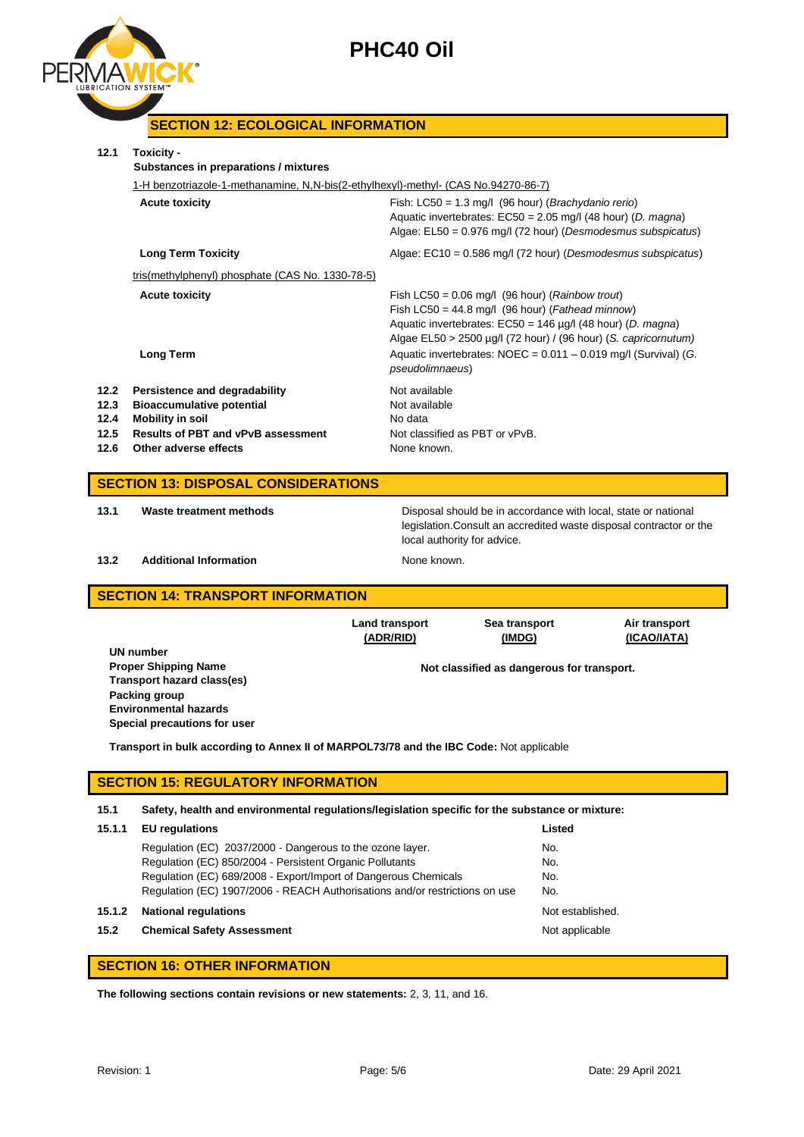

## **SECTION 12: ECOLOGICAL INFORMATION**

|                                            | 1-H benzotriazole-1-methanamine, N,N-bis(2-ethylhexyl)-methyl- (CAS No.94270-86-7)                                                                                 |                                                                                                                                                                                                                                                                                                                                                        |  |  |  |
|--------------------------------------------|--------------------------------------------------------------------------------------------------------------------------------------------------------------------|--------------------------------------------------------------------------------------------------------------------------------------------------------------------------------------------------------------------------------------------------------------------------------------------------------------------------------------------------------|--|--|--|
|                                            | <b>Acute toxicity</b>                                                                                                                                              | Fish: $LC50 = 1.3$ mg/l (96 hour) ( <i>Brachydanio rerio</i> )<br>Aquatic invertebrates: $EC50 = 2.05$ mg/l (48 hour) (D. magna)<br>Algae: EL50 = 0.976 mg/l (72 hour) (Desmodesmus subspicatus)                                                                                                                                                       |  |  |  |
|                                            | <b>Long Term Toxicity</b>                                                                                                                                          | Algae: EC10 = 0.586 mg/l (72 hour) (Desmodesmus subspicatus)                                                                                                                                                                                                                                                                                           |  |  |  |
|                                            | tris(methylphenyl) phosphate (CAS No. 1330-78-5)                                                                                                                   |                                                                                                                                                                                                                                                                                                                                                        |  |  |  |
|                                            | <b>Acute toxicity</b><br><b>Long Term</b>                                                                                                                          | Fish LC50 = $0.06$ mg/l (96 hour) ( <i>Rainbow trout</i> )<br>Fish LC50 = $44.8$ mg/l (96 hour) ( <i>Fathead minnow</i> )<br>Aquatic invertebrates: $EC50 = 146 \mu g/l$ (48 hour) (D. magna)<br>Algae EL50 > 2500 µg/l (72 hour) / (96 hour) (S. capricornutum)<br>Aquatic invertebrates: NOEC = 0.011 - 0.019 mg/l (Survival) (G.<br>pseudolimnaeus) |  |  |  |
| 12.2<br>12.3<br>12.4<br>12.5<br>12.6       | Persistence and degradability<br><b>Bioaccumulative potential</b><br><b>Mobility in soil</b><br><b>Results of PBT and vPvB assessment</b><br>Other adverse effects | Not available<br>Not available<br>No data<br>Not classified as PBT or vPvB.<br>None known.                                                                                                                                                                                                                                                             |  |  |  |
| <b>SECTION 13: DISPOSAL CONSIDERATIONS</b> |                                                                                                                                                                    |                                                                                                                                                                                                                                                                                                                                                        |  |  |  |
| 13.1                                       | Waste treatment methods                                                                                                                                            | Disposal should be in accordance with local, state or national<br>legislation. Consult an accredited waste disposal contractor or the                                                                                                                                                                                                                  |  |  |  |

#### **13.2 Additional Information None known.**

local authority for advice.

### **SECTION 14: TRANSPORT INFORMATION**

|                              | <b>Land transport</b><br>(ADR/RID) | Sea transport<br>(IMDG)                    | Air transport<br>(ICAO/IATA) |
|------------------------------|------------------------------------|--------------------------------------------|------------------------------|
| UN number                    |                                    |                                            |                              |
| <b>Proper Shipping Name</b>  |                                    | Not classified as dangerous for transport. |                              |
| Transport hazard class(es)   |                                    |                                            |                              |
| Packing group                |                                    |                                            |                              |
| <b>Environmental hazards</b> |                                    |                                            |                              |
| Special precautions for user |                                    |                                            |                              |

**Transport in bulk according to Annex II of MARPOL73/78 and the IBC Code:** Not applicable

### **SECTION 15: REGULATORY INFORMATION**

#### **15.1 Safety, health and environmental regulations/legislation specific for the substance or mixture:**

| 15.1.1 | <b>EU</b> regulations                                                       | Listed           |
|--------|-----------------------------------------------------------------------------|------------------|
|        | Regulation (EC) 2037/2000 - Dangerous to the ozone layer.                   | No.              |
|        | Regulation (EC) 850/2004 - Persistent Organic Pollutants                    | No.              |
|        | Regulation (EC) 689/2008 - Export/Import of Dangerous Chemicals             | No.              |
|        | Regulation (EC) 1907/2006 - REACH Authorisations and/or restrictions on use | No.              |
| 15.1.2 | <b>National regulations</b>                                                 | Not established. |
| 15.2   | <b>Chemical Safety Assessment</b>                                           | Not applicable   |
|        |                                                                             |                  |

## **SECTION 16: OTHER INFORMATION**

**The following sections contain revisions or new statements:** 2, 3, 11, and 16.